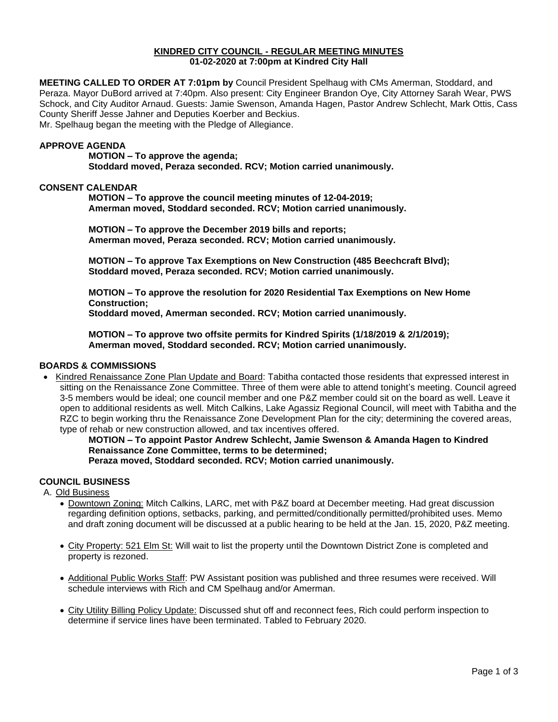#### **KINDRED CITY COUNCIL - REGULAR MEETING MINUTES 01-02-2020 at 7:00pm at Kindred City Hall**

**MEETING CALLED TO ORDER AT 7:01pm by** Council President Spelhaug with CMs Amerman, Stoddard, and Peraza. Mayor DuBord arrived at 7:40pm. Also present: City Engineer Brandon Oye, City Attorney Sarah Wear, PWS Schock, and City Auditor Arnaud. Guests: Jamie Swenson, Amanda Hagen, Pastor Andrew Schlecht, Mark Ottis, Cass County Sheriff Jesse Jahner and Deputies Koerber and Beckius. Mr. Spelhaug began the meeting with the Pledge of Allegiance.

#### **APPROVE AGENDA**

**MOTION – To approve the agenda; Stoddard moved, Peraza seconded. RCV; Motion carried unanimously.** 

#### **CONSENT CALENDAR**

**MOTION – To approve the council meeting minutes of 12-04-2019; Amerman moved, Stoddard seconded. RCV; Motion carried unanimously.** 

**MOTION – To approve the December 2019 bills and reports; Amerman moved, Peraza seconded. RCV; Motion carried unanimously.** 

**MOTION – To approve Tax Exemptions on New Construction (485 Beechcraft Blvd); Stoddard moved, Peraza seconded. RCV; Motion carried unanimously.** 

**MOTION – To approve the resolution for 2020 Residential Tax Exemptions on New Home Construction; Stoddard moved, Amerman seconded. RCV; Motion carried unanimously.** 

**MOTION – To approve two offsite permits for Kindred Spirits (1/18/2019 & 2/1/2019); Amerman moved, Stoddard seconded. RCV; Motion carried unanimously.**

#### **BOARDS & COMMISSIONS**

• Kindred Renaissance Zone Plan Update and Board: Tabitha contacted those residents that expressed interest in sitting on the Renaissance Zone Committee. Three of them were able to attend tonight's meeting. Council agreed 3-5 members would be ideal; one council member and one P&Z member could sit on the board as well. Leave it open to additional residents as well. Mitch Calkins, Lake Agassiz Regional Council, will meet with Tabitha and the RZC to begin working thru the Renaissance Zone Development Plan for the city; determining the covered areas, type of rehab or new construction allowed, and tax incentives offered.

**MOTION – To appoint Pastor Andrew Schlecht, Jamie Swenson & Amanda Hagen to Kindred Renaissance Zone Committee, terms to be determined;**

**Peraza moved, Stoddard seconded. RCV; Motion carried unanimously.**

# **COUNCIL BUSINESS**

A. Old Business

- Downtown Zoning: Mitch Calkins, LARC, met with P&Z board at December meeting. Had great discussion regarding definition options, setbacks, parking, and permitted/conditionally permitted/prohibited uses. Memo and draft zoning document will be discussed at a public hearing to be held at the Jan. 15, 2020, P&Z meeting.
- City Property: 521 Elm St: Will wait to list the property until the Downtown District Zone is completed and property is rezoned.
- Additional Public Works Staff: PW Assistant position was published and three resumes were received. Will schedule interviews with Rich and CM Spelhaug and/or Amerman.
- City Utility Billing Policy Update: Discussed shut off and reconnect fees, Rich could perform inspection to determine if service lines have been terminated. Tabled to February 2020.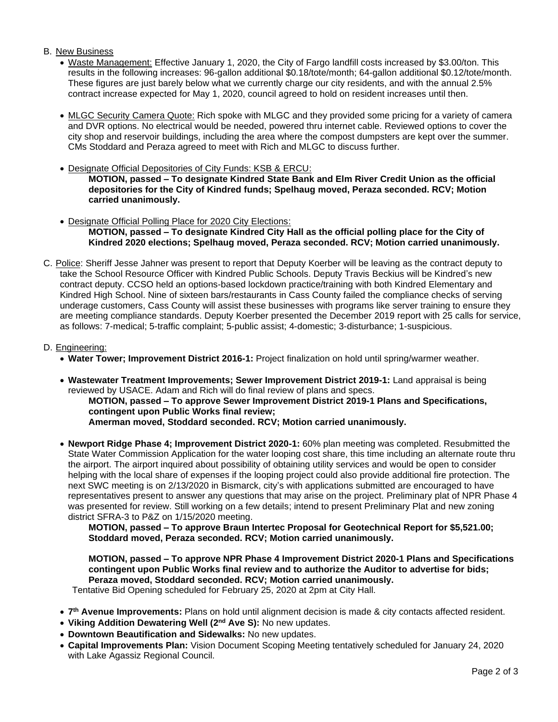# B. New Business

- Waste Management: Effective January 1, 2020, the City of Fargo landfill costs increased by \$3.00/ton. This results in the following increases: 96-gallon additional \$0.18/tote/month; 64-gallon additional \$0.12/tote/month. These figures are just barely below what we currently charge our city residents, and with the annual 2.5% contract increase expected for May 1, 2020, council agreed to hold on resident increases until then.
- MLGC Security Camera Quote: Rich spoke with MLGC and they provided some pricing for a variety of camera and DVR options. No electrical would be needed, powered thru internet cable. Reviewed options to cover the city shop and reservoir buildings, including the area where the compost dumpsters are kept over the summer. CMs Stoddard and Peraza agreed to meet with Rich and MLGC to discuss further.
- Designate Official Depositories of City Funds: KSB & ERCU:

**MOTION, passed – To designate Kindred State Bank and Elm River Credit Union as the official depositories for the City of Kindred funds; Spelhaug moved, Peraza seconded. RCV; Motion carried unanimously.** 

- Designate Official Polling Place for 2020 City Elections: **MOTION, passed – To designate Kindred City Hall as the official polling place for the City of Kindred 2020 elections; Spelhaug moved, Peraza seconded. RCV; Motion carried unanimously.**
- C. Police: Sheriff Jesse Jahner was present to report that Deputy Koerber will be leaving as the contract deputy to take the School Resource Officer with Kindred Public Schools. Deputy Travis Beckius will be Kindred's new contract deputy. CCSO held an options-based lockdown practice/training with both Kindred Elementary and Kindred High School. Nine of sixteen bars/restaurants in Cass County failed the compliance checks of serving underage customers, Cass County will assist these businesses with programs like server training to ensure they are meeting compliance standards. Deputy Koerber presented the December 2019 report with 25 calls for service, as follows: 7-medical; 5-traffic complaint; 5-public assist; 4-domestic; 3-disturbance; 1-suspicious.

### D. Engineering:

- **Water Tower; Improvement District 2016-1:** Project finalization on hold until spring/warmer weather.
- **Wastewater Treatment Improvements; Sewer Improvement District 2019-1:** Land appraisal is being reviewed by USACE. Adam and Rich will do final review of plans and specs.

**MOTION, passed – To approve Sewer Improvement District 2019-1 Plans and Specifications, contingent upon Public Works final review; Amerman moved, Stoddard seconded. RCV; Motion carried unanimously.**

• **Newport Ridge Phase 4; Improvement District 2020-1:** 60% plan meeting was completed. Resubmitted the State Water Commission Application for the water looping cost share, this time including an alternate route thru the airport. The airport inquired about possibility of obtaining utility services and would be open to consider helping with the local share of expenses if the looping project could also provide additional fire protection. The next SWC meeting is on 2/13/2020 in Bismarck, city's with applications submitted are encouraged to have representatives present to answer any questions that may arise on the project. Preliminary plat of NPR Phase 4 was presented for review. Still working on a few details; intend to present Preliminary Plat and new zoning district SFRA-3 to P&Z on 1/15/2020 meeting.

**MOTION, passed – To approve Braun Intertec Proposal for Geotechnical Report for \$5,521.00; Stoddard moved, Peraza seconded. RCV; Motion carried unanimously.**

**MOTION, passed – To approve NPR Phase 4 Improvement District 2020-1 Plans and Specifications contingent upon Public Works final review and to authorize the Auditor to advertise for bids; Peraza moved, Stoddard seconded. RCV; Motion carried unanimously.**

Tentative Bid Opening scheduled for February 25, 2020 at 2pm at City Hall.

- **7 th Avenue Improvements:** Plans on hold until alignment decision is made & city contacts affected resident.
- **Viking Addition Dewatering Well (2nd Ave S):** No new updates.
- **Downtown Beautification and Sidewalks:** No new updates.
- **Capital Improvements Plan:** Vision Document Scoping Meeting tentatively scheduled for January 24, 2020 with Lake Agassiz Regional Council.